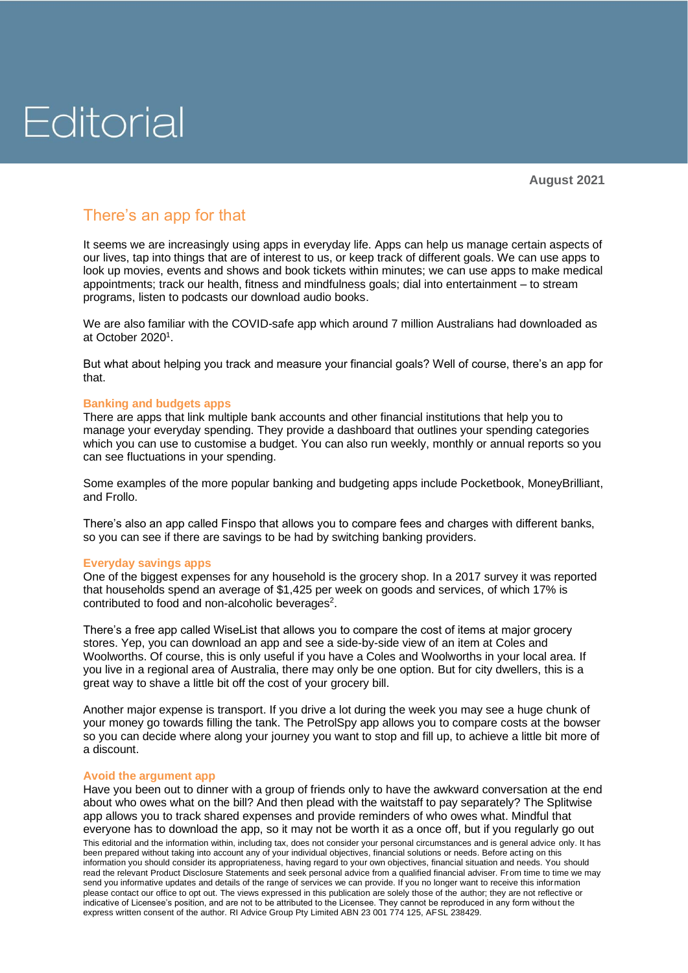# Editorial

### There's an app for that

It seems we are increasingly using apps in everyday life. Apps can help us manage certain aspects of our lives, tap into things that are of interest to us, or keep track of different goals. We can use apps to look up movies, events and shows and book tickets within minutes; we can use apps to make medical appointments; track our health, fitness and mindfulness goals; dial into entertainment – to stream programs, listen to podcasts our download audio books.

We are also familiar with the COVID-safe app which around 7 million Australians had downloaded as at October 2020<sup>1</sup>.

But what about helping you track and measure your financial goals? Well of course, there's an app for that.

#### **Banking and budgets apps**

There are apps that link multiple bank accounts and other financial institutions that help you to manage your everyday spending. They provide a dashboard that outlines your spending categories which you can use to customise a budget. You can also run weekly, monthly or annual reports so you can see fluctuations in your spending.

Some examples of the more popular banking and budgeting apps include Pocketbook, MoneyBrilliant, and Frollo.

There's also an app called Finspo that allows you to compare fees and charges with different banks, so you can see if there are savings to be had by switching banking providers.

#### **Everyday savings apps**

One of the biggest expenses for any household is the grocery shop. In a 2017 survey it was reported that households spend an average of \$1,425 per week on goods and services, of which 17% is contributed to food and non-alcoholic beverages $2$ .

There's a free app called WiseList that allows you to compare the cost of items at major grocery stores. Yep, you can download an app and see a side-by-side view of an item at Coles and Woolworths. Of course, this is only useful if you have a Coles and Woolworths in your local area. If you live in a regional area of Australia, there may only be one option. But for city dwellers, this is a great way to shave a little bit off the cost of your grocery bill.

Another major expense is transport. If you drive a lot during the week you may see a huge chunk of your money go towards filling the tank. The PetrolSpy app allows you to compare costs at the bowser so you can decide where along your journey you want to stop and fill up, to achieve a little bit more of a discount.

#### **Avoid the argument app**

This editorial and the information within, including tax, does not consider your personal circumstances and is general advice only. It has been prepared without taking into account any of your individual objectives, financial solutions or needs. Before acting on this information you should consider its appropriateness, having regard to your own objectives, financial situation and needs. You should read the relevant Product Disclosure Statements and seek personal advice from a qualified financial adviser. From time to time we may send you informative updates and details of the range of services we can provide. If you no longer want to receive this information please contact our office to opt out. The views expressed in this publication are solely those of the author; they are not reflective or indicative of Licensee's position, and are not to be attributed to the Licensee. They cannot be reproduced in any form without the express written consent of the author. RI Advice Group Pty Limited ABN 23 001 774 125, AFSL 238429. Have you been out to dinner with a group of friends only to have the awkward conversation at the end about who owes what on the bill? And then plead with the waitstaff to pay separately? The Splitwise app allows you to track shared expenses and provide reminders of who owes what. Mindful that everyone has to download the app, so it may not be worth it as a once off, but if you regularly go out